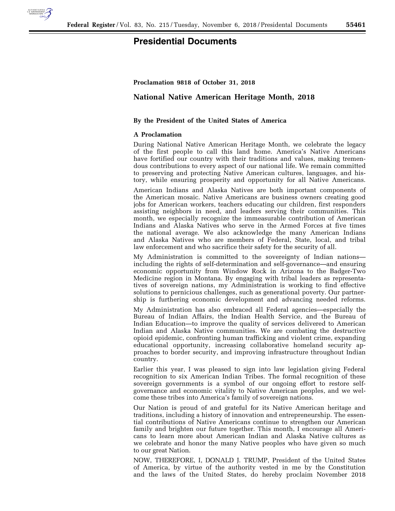

# **Presidential Documents**

### **Proclamation 9818 of October 31, 2018**

## **National Native American Heritage Month, 2018**

### **By the President of the United States of America**

#### **A Proclamation**

During National Native American Heritage Month, we celebrate the legacy of the first people to call this land home. America's Native Americans have fortified our country with their traditions and values, making tremendous contributions to every aspect of our national life. We remain committed to preserving and protecting Native American cultures, languages, and history, while ensuring prosperity and opportunity for all Native Americans.

American Indians and Alaska Natives are both important components of the American mosaic. Native Americans are business owners creating good jobs for American workers, teachers educating our children, first responders assisting neighbors in need, and leaders serving their communities. This month, we especially recognize the immeasurable contribution of American Indians and Alaska Natives who serve in the Armed Forces at five times the national average. We also acknowledge the many American Indians and Alaska Natives who are members of Federal, State, local, and tribal law enforcement and who sacrifice their safety for the security of all.

My Administration is committed to the sovereignty of Indian nations including the rights of self-determination and self-governance—and ensuring economic opportunity from Window Rock in Arizona to the Badger-Two Medicine region in Montana. By engaging with tribal leaders as representatives of sovereign nations, my Administration is working to find effective solutions to pernicious challenges, such as generational poverty. Our partnership is furthering economic development and advancing needed reforms.

My Administration has also embraced all Federal agencies—especially the Bureau of Indian Affairs, the Indian Health Service, and the Bureau of Indian Education—to improve the quality of services delivered to American Indian and Alaska Native communities. We are combating the destructive opioid epidemic, confronting human trafficking and violent crime, expanding educational opportunity, increasing collaborative homeland security approaches to border security, and improving infrastructure throughout Indian country.

Earlier this year, I was pleased to sign into law legislation giving Federal recognition to six American Indian Tribes. The formal recognition of these sovereign governments is a symbol of our ongoing effort to restore selfgovernance and economic vitality to Native American peoples, and we welcome these tribes into America's family of sovereign nations.

Our Nation is proud of and grateful for its Native American heritage and traditions, including a history of innovation and entrepreneurship. The essential contributions of Native Americans continue to strengthen our American family and brighten our future together. This month, I encourage all Americans to learn more about American Indian and Alaska Native cultures as we celebrate and honor the many Native peoples who have given so much to our great Nation.

NOW, THEREFORE, I, DONALD J. TRUMP, President of the United States of America, by virtue of the authority vested in me by the Constitution and the laws of the United States, do hereby proclaim November 2018